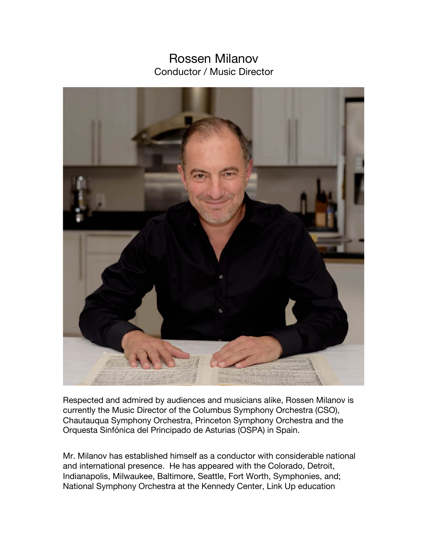## Rossen Milanov Conductor / Music Director



Respected and admired by audiences and musicians alike, Rossen Milanov is currently the Music Director of the Columbus Symphony Orchestra (CSO), Chautauqua Symphony Orchestra, Princeton Symphony Orchestra and the Orquesta Sinfónica del Principado de Asturias (OSPA) in Spain.

Mr. Milanov has established himself as a conductor with considerable national and international presence. He has appeared with the Colorado, Detroit, Indianapolis, Milwaukee, Baltimore, Seattle, Fort Worth, Symphonies, and; National Symphony Orchestra at the Kennedy Center, Link Up education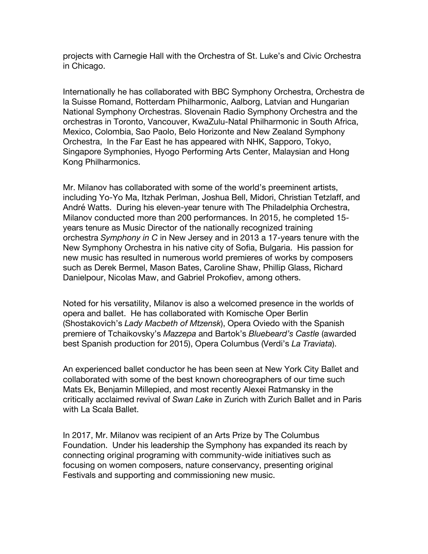projects with Carnegie Hall with the Orchestra of St. Luke's and Civic Orchestra in Chicago.

Internationally he has collaborated with BBC Symphony Orchestra, Orchestra de la Suisse Romand, Rotterdam Philharmonic, Aalborg, Latvian and Hungarian National Symphony Orchestras. Slovenain Radio Symphony Orchestra and the orchestras in Toronto, Vancouver, KwaZulu-Natal Philharmonic in South Africa, Mexico, Colombia, Sao Paolo, Belo Horizonte and New Zealand Symphony Orchestra, In the Far East he has appeared with NHK, Sapporo, Tokyo, Singapore Symphonies, Hyogo Performing Arts Center, Malaysian and Hong Kong Philharmonics.

Mr. Milanov has collaborated with some of the world's preeminent artists, including Yo-Yo Ma, Itzhak Perlman, Joshua Bell, Midori, Christian Tetzlaff, and André Watts. During his eleven-year tenure with The Philadelphia Orchestra, Milanov conducted more than 200 performances. In 2015, he completed 15 years tenure as Music Director of the nationally recognized training orchestra *Symphony in C* in New Jersey and in 2013 a 17-years tenure with the New Symphony Orchestra in his native city of Sofia, Bulgaria. His passion for new music has resulted in numerous world premieres of works by composers such as Derek Bermel, Mason Bates, Caroline Shaw, Phillip Glass, Richard Danielpour, Nicolas Maw, and Gabriel Prokofiev, among others.

Noted for his versatility, Milanov is also a welcomed presence in the worlds of opera and ballet. He has collaborated with Komische Oper Berlin (Shostakovich's *Lady Macbeth of Mtzensk*), Opera Oviedo with the Spanish premiere of Tchaikovsky's *Mazzepa* and Bartok's *Bluebeard's Castle* (awarded best Spanish production for 2015), Opera Columbus (Verdi's *La Traviata*).

An experienced ballet conductor he has been seen at New York City Ballet and collaborated with some of the best known choreographers of our time such Mats Ek, Benjamin Millepied, and most recently Alexei Ratmansky in the critically acclaimed revival of *Swan Lake* in Zurich with Zurich Ballet and in Paris with La Scala Ballet.

In 2017, Mr. Milanov was recipient of an Arts Prize by The Columbus Foundation. Under his leadership the Symphony has expanded its reach by connecting original programing with community-wide initiatives such as focusing on women composers, nature conservancy, presenting original Festivals and supporting and commissioning new music.